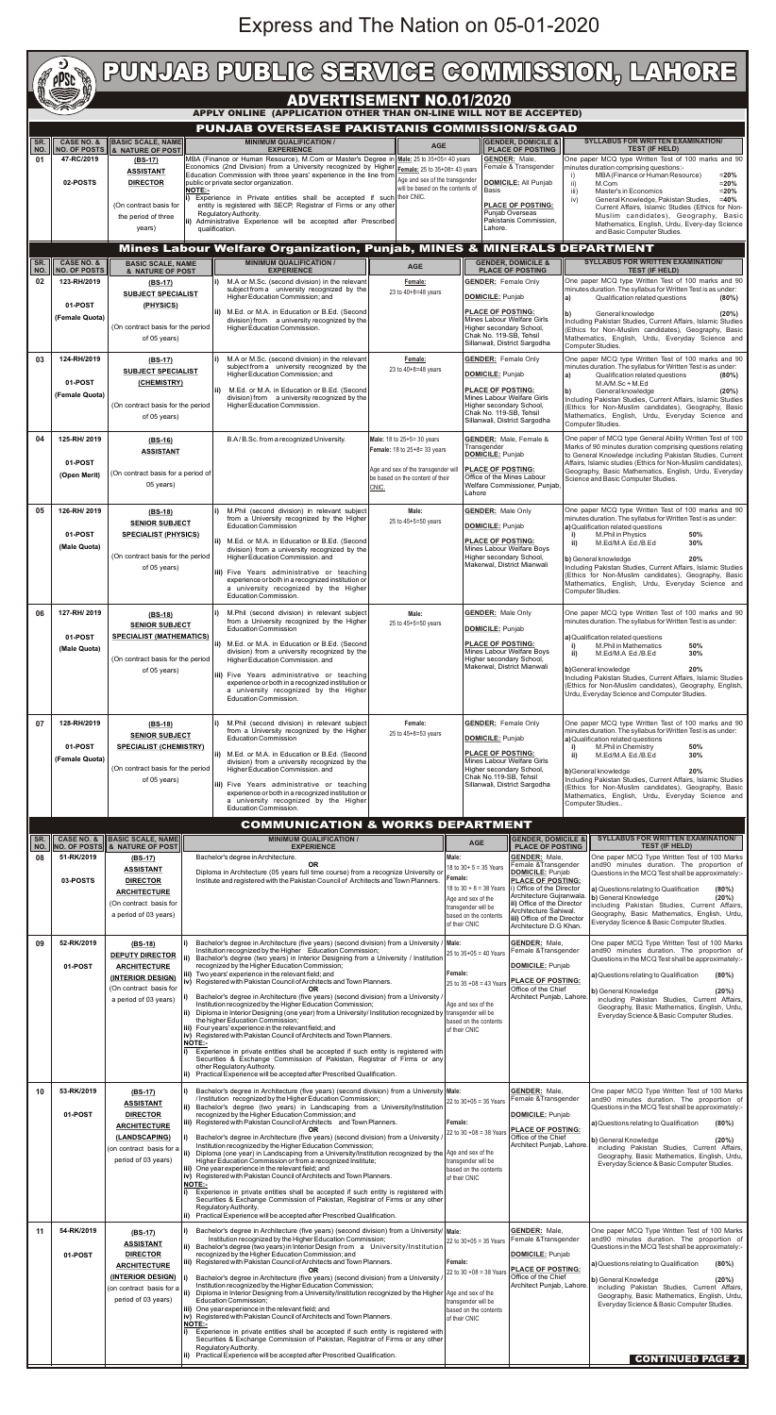## Express and The Nation on 05-01-2020

of 05 years)

**iii)** Five Years administrative or teaching experience or both in a recognized institution or a university recognized by the Higher Education Commission.

|            | PUNJAB PUBLIG SERVIGE GOMMISSION, LAHORE<br><b>PPSC</b>            |                                                             |                                                                                                                                             |                                                                         |                                                                                      |                                                                                                                                                                                                                                    |  |  |  |  |
|------------|--------------------------------------------------------------------|-------------------------------------------------------------|---------------------------------------------------------------------------------------------------------------------------------------------|-------------------------------------------------------------------------|--------------------------------------------------------------------------------------|------------------------------------------------------------------------------------------------------------------------------------------------------------------------------------------------------------------------------------|--|--|--|--|
|            | <b>ADVERTISEMENT NO.01/2020</b>                                    |                                                             |                                                                                                                                             |                                                                         |                                                                                      |                                                                                                                                                                                                                                    |  |  |  |  |
|            | APPLY ONLINE (APPLICATION OTHER THAN ON-LINE WILL NOT BE ACCEPTED) |                                                             |                                                                                                                                             |                                                                         |                                                                                      |                                                                                                                                                                                                                                    |  |  |  |  |
|            | PUNJAB OVERSEASE PAKISTANIS COMMISSION/S&GAD                       |                                                             |                                                                                                                                             |                                                                         |                                                                                      |                                                                                                                                                                                                                                    |  |  |  |  |
| SR.<br>NO. | <b>CASE NO. &amp;</b>                                              | <b>BASIC SCALE, NAME</b><br>NO. OF POSTS 3 & NATURE OF POST | <b>MINIMUM QUALIFICATION /</b><br><b>EXPERIENCE</b>                                                                                         | <b>AGE</b>                                                              | <b>GENDER, DOMICILE &amp;</b><br><b>PLACE OF POSTING</b>                             | <b>SYLLABUS FOR WRITTEN EXAMINATION/</b><br><b>TEST (IF HELD)</b>                                                                                                                                                                  |  |  |  |  |
| 01         | 47-RC/2019                                                         | (BS-17)                                                     | MBA (Finance or Human Resource), M.Com or Master's Degree in Male: 25 to 35+05= 40 years                                                    |                                                                         | <b>GENDER: Male.</b>                                                                 | One paper MCQ type Written Test of 100 marks and 90                                                                                                                                                                                |  |  |  |  |
|            |                                                                    | <b>ASSISTANT</b>                                            | Economics (2nd Division) from a University recognized by Higher<br>Education Commission with three years' experience in the line from       | Female: 25 to 35+08= 43 years<br>Age and sex of the transgender         | Female & Transgender                                                                 | minutes duration comprising questions:-<br>MBA (Finance or Human Resource)<br>$= 20%$                                                                                                                                              |  |  |  |  |
|            | 02-POSTS                                                           | <b>DIRECTOR</b><br>INOTE:-                                  | public or private sector organization.                                                                                                      | will be based on the contents of                                        | <b>DOMICILE: All Punjab</b><br><b>Basis</b>                                          | ii)<br>M.Com<br>$= 20%$<br>Master's in Economics<br>iii)<br>$= 20%$                                                                                                                                                                |  |  |  |  |
|            |                                                                    | (On contract basis for                                      | (i) Experience in Private entities shall be accepted if such their CNIC.<br>entity is registered with SECP, Registrar of Firms or any other |                                                                         |                                                                                      | General Knowledge, Pakistan Studies,<br>$=40%$<br>iv)<br>Current Affairs, Islamic Studies (Ethics for Non-                                                                                                                         |  |  |  |  |
|            |                                                                    | the period of three<br>years)                               | Regulatory Authority.<br>ii) Administrative Experience will be accepted after Prescribed                                                    |                                                                         | Punjab Overseas<br>Pakistanis Commission,                                            | Muslim candidates), Geography, Basic<br>Mathematics, English, Urdu, Every-day Science                                                                                                                                              |  |  |  |  |
|            |                                                                    |                                                             | qualification.                                                                                                                              |                                                                         | Lahore.                                                                              | and Basic Computer Studies.                                                                                                                                                                                                        |  |  |  |  |
|            |                                                                    |                                                             | <b>Mines Labour Welfare Organization, Punjab, MINES &amp; MINERALS DEPARTMENT</b>                                                           |                                                                         |                                                                                      |                                                                                                                                                                                                                                    |  |  |  |  |
| SR.<br>NO. | <b>CASE NO. &amp;</b><br><b>NO. OF POSTS</b>                       | <b>BASIC SCALE, NAME</b><br>& NATURE OF POST                | <b>MINIMUM QUALIFICATION /</b><br><b>EXPERIENCE</b>                                                                                         | <b>AGE</b>                                                              | <b>GENDER, DOMICILE &amp;</b><br><b>PLACE OF POSTING</b>                             | <b>SYLLABUS FOR WRITTEN EXAMINATION/</b><br><b>TEST (IF HELD)</b>                                                                                                                                                                  |  |  |  |  |
| 02         | 123-RH/2019                                                        | $(BS-17)$                                                   | M.A or M.Sc. (second division) in the relevant<br>subject from a university recognized by the                                               | Female:                                                                 | <b>GENDER:</b> Female Only                                                           | One paper MCQ type Written Test of 100 marks and 90<br>minutes duration. The syllabus for Written Test is as under:                                                                                                                |  |  |  |  |
|            | 01-POST                                                            | <b>SUBJECT SPECIALIST</b><br>(PHYSICS)                      | Higher Education Commission; and                                                                                                            | 23 to 40+8=48 years                                                     | DOMICILE: Punjab                                                                     | Qualification related questions<br>(80%)<br>a)                                                                                                                                                                                     |  |  |  |  |
|            | (Female Quota)                                                     |                                                             | ii) M.Ed. or M.A. in Education or B.Ed. (Second<br>division) from a university recognized by the                                            |                                                                         | <b>PLACE OF POSTING:</b><br>Mines Labour Welfare Girls                               | General knowledge<br>lb)<br>(20%)<br>Including Pakistan Studies, Current Affairs, Islamic Studies<br>(Ethics for Non-Muslim candidates), Geography, Basic<br>Mathematics, English, Urdu, Everyday Science and<br>Computer Studies. |  |  |  |  |
|            |                                                                    | (On contract basis for the period                           | Higher Education Commission.                                                                                                                |                                                                         | Higher secondary School,<br>Chak No. 119-SB, Tehsil                                  |                                                                                                                                                                                                                                    |  |  |  |  |
|            |                                                                    | of 05 years)                                                |                                                                                                                                             |                                                                         | Sillanwali, District Sargodha                                                        |                                                                                                                                                                                                                                    |  |  |  |  |
| 03         | 124-RH/2019                                                        | $(BS-17)$                                                   | M.A or M.Sc. (second division) in the relevant<br>subject from a university recognized by the                                               | Female:<br>23 to 40+8=48 years                                          | <b>GENDER:</b> Female Only                                                           | One paper MCQ type Written Test of 100 marks and 90<br>minutes duration. The syllabus for Written Test is as under:                                                                                                                |  |  |  |  |
|            | 01-POST                                                            | <b>SUBJECT SPECIALIST</b><br>(CHEMISTRY)                    | Higher Education Commission; and                                                                                                            |                                                                         | DOMICILE: Punjab                                                                     | Qualification related questions<br>a)<br>$(80\%)$<br>M.A/M.Sc + M.Ed<br>General knowledge<br>(20%)<br>b)<br>Including Pakistan Studies, Current Affairs, Islamic Studies                                                           |  |  |  |  |
|            | (Female Quota)                                                     |                                                             | M.Ed. or M.A. in Education or B.Ed. (Second<br>division) from a university recognized by the                                                |                                                                         | <b>PLACE OF POSTING:</b><br>Mines Labour Welfare Girls                               |                                                                                                                                                                                                                                    |  |  |  |  |
|            |                                                                    | (On contract basis for the period<br>of 05 years)           | Higher Education Commission.                                                                                                                |                                                                         | Higher secondary School,<br>Chak No. 119-SB, Tehsil                                  | (Ethics for Non-Muslim candidates), Geography, Basic<br>Mathematics, English, Urdu, Everyday Science and                                                                                                                           |  |  |  |  |
|            |                                                                    |                                                             |                                                                                                                                             |                                                                         | Sillanwali, District Sargodha                                                        | Computer Studies.                                                                                                                                                                                                                  |  |  |  |  |
| 04         | 125-RH/2019                                                        | $(BS-16)$<br><b>ASSISTANT</b>                               | B.A/B.Sc. from a recognized University.                                                                                                     | Male: 18 to 25+5= 30 years<br>Female: 18 to 25+8= 33 years              | <b>GENDER:</b> Male, Female &<br>Transgender                                         | One paper of MCQ type General Ability Written Test of 100<br>Marks of 90 minutes duration comprising questions relating                                                                                                            |  |  |  |  |
|            | 01-POST                                                            |                                                             |                                                                                                                                             |                                                                         | <b>DOMICILE:</b> Punjab                                                              | to General Knowledge including Pakistan Studies, Current<br>Affairs, Islamic studies (Ethics for Non-Muslim candidates),                                                                                                           |  |  |  |  |
|            | (Open Merit)                                                       | (On contract basis for a period of                          |                                                                                                                                             | Age and sex of the transgender will<br>be based on the content of their | <b>PLACE OF POSTING:</b><br>Office of the Mines Labour                               | Geography, Basic Mathematics, English, Urdu, Everyday<br>Science and Basic Computer Studies.                                                                                                                                       |  |  |  |  |
|            |                                                                    | 05 years)                                                   |                                                                                                                                             | CNIC.                                                                   | Welfare Commissioner, Punjab.<br>Lahore                                              |                                                                                                                                                                                                                                    |  |  |  |  |
| 05         | 126-RH/2019                                                        | $(BS-18)$                                                   | M.Phil (second division) in relevant subject                                                                                                | Male:                                                                   | <b>GENDER: Male Only</b>                                                             | One paper MCQ type Written Test of 100 marks and 90                                                                                                                                                                                |  |  |  |  |
|            |                                                                    | <b>SENIOR SUBJECT</b>                                       | from a University recognized by the Higher<br><b>Education Commission</b>                                                                   | 25 to 45+5=50 years                                                     | DOMICILE: Punjab                                                                     | minutes duration. The syllabus for Written Test is as under:<br>a) Qualification related questions                                                                                                                                 |  |  |  |  |
|            | 01-POST<br>(Male Quota)                                            | <b>SPECIALIST (PHYSICS)</b>                                 | ii) M.Ed. or M.A. in Education or B.Ed. (Second                                                                                             |                                                                         | <b>PLACE OF POSTING:</b><br>Mines Labour Welfare Boys                                | M.Phil in Physics<br>50%<br>M.Ed/M.A Ed./B.Ed<br>30%<br>ii)                                                                                                                                                                        |  |  |  |  |
|            |                                                                    | (On contract basis for the period                           | division) from a university recognized by the<br>Higher Education Commission. and                                                           |                                                                         | Higher secondary School,<br>Makerwal, District Mianwali                              | 20%<br>b) General knowledge                                                                                                                                                                                                        |  |  |  |  |
|            |                                                                    | of 05 years)                                                | iii) Five Years administrative or teaching<br>experience or both in a recognized institution or                                             |                                                                         |                                                                                      | Including Pakistan Studies, Current Affairs, Islamic Studies<br>(Ethics for Non-Muslim candidates), Geography, Basic                                                                                                               |  |  |  |  |
|            |                                                                    |                                                             | a university recognized by the Higher<br>Education Commission.                                                                              |                                                                         |                                                                                      | Mathematics, English, Urdu, Everyday Science and<br>Computer Studies.                                                                                                                                                              |  |  |  |  |
| 06         | 127-RH/2019                                                        |                                                             | M.Phil (second division) in relevant subject                                                                                                | Male:                                                                   | <b>GENDER: Male Only</b>                                                             | One paper MCQ type Written Test of 100 marks and 90                                                                                                                                                                                |  |  |  |  |
|            |                                                                    | $(BS-18)$<br><b>SENIOR SUBJECT</b>                          | from a University recognized by the Higher<br><b>Education Commission</b>                                                                   | 25 to 45+5=50 years                                                     | DOMICILE: Punjab                                                                     | minutes duration. The syllabus for Written Test is as under:                                                                                                                                                                       |  |  |  |  |
|            | 01-POST                                                            | <b>SPECIALIST (MATHEMATICS)</b>                             | ii) M.Ed. or M.A. in Education or B.Ed. (Second                                                                                             |                                                                         | <b>PLACE OF POSTING:</b>                                                             | a) Qualification related questions<br>M.Phil in Mathematics<br>50%<br>i)                                                                                                                                                           |  |  |  |  |
|            | (Male Quota)                                                       | (On contract basis for the period                           | division) from a university recognized by the<br>Higher Education Commission. and                                                           |                                                                         | Mines Labour Welfare Boys<br>Higher secondary School,<br>Makerwal, District Mianwali | 30%<br>M.Ed/M.A Ed./B.Ed<br>ii)                                                                                                                                                                                                    |  |  |  |  |
|            |                                                                    | of 05 years)                                                | iii) Five Years administrative or teaching                                                                                                  |                                                                         |                                                                                      | 20%<br>b)General knowledge<br>Including Pakistan Studies, Current Affairs, Islamic Studies                                                                                                                                         |  |  |  |  |
|            |                                                                    |                                                             | experience or both in a recognized institution or<br>a university recognized by the Higher                                                  |                                                                         |                                                                                      | (Ethics for Non-Muslim candidates), Geography, English,<br>Urdu, Everyday Science and Computer Studies.                                                                                                                            |  |  |  |  |
|            |                                                                    |                                                             | Education Commission.                                                                                                                       |                                                                         |                                                                                      |                                                                                                                                                                                                                                    |  |  |  |  |
| 07         | 128-RH/2019                                                        | $(BS-18)$                                                   | M.Phil (second division) in relevant subject                                                                                                | Female:                                                                 | <b>GENDER:</b> Female Only                                                           | One paper MCQ type Written Test of 100 marks and 90                                                                                                                                                                                |  |  |  |  |
|            |                                                                    | <b>SENIOR SUBJECT</b>                                       | from a University recognized by the Higher<br><b>Education Commission</b>                                                                   | 25 to 45+8=53 years                                                     | DOMICILE: Punjab                                                                     | minutes duration. The syllabus for Written Test is as under:<br>a) Qualification related questions                                                                                                                                 |  |  |  |  |
|            | 01-POST<br>(Female Quota)                                          | <b>SPECIALIST (CHEMISTRY)</b>                               | ii) M.Ed. or M.A. in Education or B.Ed. (Second                                                                                             |                                                                         | <b>PLACE OF POSTING:</b>                                                             | M.Phil in Chemistry<br>50%<br>i)<br>M.Ed/M.A Ed./B.Ed<br>30%<br>ii)                                                                                                                                                                |  |  |  |  |
|            |                                                                    | (On contract basis for the period                           | division) from a university recognized by the<br>Higher Education Commission. and                                                           |                                                                         | Mines Labour Welfare Girls<br>Higher secondary School,                               | 20%<br>b)General knowledge                                                                                                                                                                                                         |  |  |  |  |

|            | <b>COMMUNICATION &amp; WORKS DEPARTMENT</b> |                                                                                                                                                 |                                                                                                                                                                                                                                                                                                                                                                                                                                                                                                                                                                                                                                                                                                                                                                                                                                                                                                                                                                                                                                                                                                                                                    |                                                                                                                                                                |                                                                                                                                                                                                                                                                              |                                                                                                                                                                                                                                                                                                                                                                                                              |  |  |  |
|------------|---------------------------------------------|-------------------------------------------------------------------------------------------------------------------------------------------------|----------------------------------------------------------------------------------------------------------------------------------------------------------------------------------------------------------------------------------------------------------------------------------------------------------------------------------------------------------------------------------------------------------------------------------------------------------------------------------------------------------------------------------------------------------------------------------------------------------------------------------------------------------------------------------------------------------------------------------------------------------------------------------------------------------------------------------------------------------------------------------------------------------------------------------------------------------------------------------------------------------------------------------------------------------------------------------------------------------------------------------------------------|----------------------------------------------------------------------------------------------------------------------------------------------------------------|------------------------------------------------------------------------------------------------------------------------------------------------------------------------------------------------------------------------------------------------------------------------------|--------------------------------------------------------------------------------------------------------------------------------------------------------------------------------------------------------------------------------------------------------------------------------------------------------------------------------------------------------------------------------------------------------------|--|--|--|
| SR.<br>NO. | <b>CASE NO. &amp;</b>                       | <b>BASIC SCALE, NAME</b><br>NO. OF POSTS & NATURE OF POST                                                                                       | <b>MINIMUM QUALIFICATION /</b><br><b>EXPERIENCE</b>                                                                                                                                                                                                                                                                                                                                                                                                                                                                                                                                                                                                                                                                                                                                                                                                                                                                                                                                                                                                                                                                                                | <b>AGE</b>                                                                                                                                                     | <b>GENDER, DOMICILE &amp;</b><br><b>PLACE OF POSTING</b>                                                                                                                                                                                                                     | <b>SYLLABUS FOR WRITTEN EXAMINATION/</b><br><b>TEST (IF HELD)</b>                                                                                                                                                                                                                                                                                                                                            |  |  |  |
| 08         | 51-RK/2019<br>03-POSTS                      | (BS-17)<br><b>ASSISTANT</b><br><b>DIRECTOR</b><br><b>ARCHITECTURE</b><br>(On contract basis for<br>a period of 03 years)                        | Bachelor's degree in Architecture.<br><b>OR</b><br>Diploma in Architecture (05 years full time course) from a recognize University or<br>Institute and registered with the Pakistan Council of Architects and Town Planners.                                                                                                                                                                                                                                                                                                                                                                                                                                                                                                                                                                                                                                                                                                                                                                                                                                                                                                                       | Male:<br>18 to 30+ 5 = 35 Years<br>Female:<br>18 to $30 + 8 = 38$ Years<br>Age and sex of the<br>transgender will be<br>based on the contents<br>of their CNIC | <b>GENDER: Male,</b><br>Female & Transgender<br><b>DOMICILE: Punjab</b><br><b>PLACE OF POSTING:</b><br>i) Office of the Director<br>Architecture Gujranwala.<br>ii) Office of the Director<br>Architecture Sahiwal.<br>iii) Office of the Director<br>Architecture D.G Khan. | One paper MCQ Type Written Test of 100 Marks<br>and90 minutes duration. The proportion of<br>Questions in the MCQ Test shall be approximately:-<br>a) Questions relating to Qualification<br>$(80\%)$<br>b) General Knowledge<br>(20%)<br>including Pakistan Studies, Current Affairs,<br>Geography, Basic Mathematics, English, Urdu,<br>Everyday Science & Basic Computer Studies.                         |  |  |  |
| 09         | 52-RK/2019<br>01-POST                       | $(BS-18)$<br><b>DEPUTY DIRECTOR</b><br><b>ARCHITECTURE</b><br>(INTERIOR DESIGN)<br>(On contract basis for<br>a period of 03 years)              | Bachelor's degree in Architecture (five years) (second division) from a University / Male:<br>Institution recognized by the Higher Education Commission;<br>Bachelor's degree (two years) in Interior Designing from a University / Institution<br>recognized by the Higher Education Commission;<br>iii) Two years' experience in the relevant field; and<br>iv) Registered with Pakistan Council of Architects and Town Planners.<br>ΟR<br>Bachelor's degree in Architecture (five years) (second division) from a University /<br>Institution recognized by the Higher Education Commission;<br>Diploma in Interior Designing (one year) from a University/ Institution recognized by<br>the higher Education Commission;<br>iii) Four years' experience in the relevant field; and<br>iv) Registered with Pakistan Council of Architects and Town Planners.<br>NOTE:-<br>Experience in private entities shall be accepted if such entity is registered with<br>Securities & Exchange Commission of Pakistan, Registrar of Firms or any<br>other Regulatory Authority.<br>Practical Experience will be accepted after Prescribed Qualification. | 25 to 35+05 = 40 Years<br>Female:<br>25 to $35 +08 = 43$ Years<br>Age and sex of the<br>transgender will be<br>based on the contents<br>of their CNIC          | <b>GENDER: Male,</b><br>Female & Transgender<br>DOMICILE: Punjab<br><b>PLACE OF POSTING:</b><br>Office of the Chief<br>Architect Punjab, Lahore                                                                                                                              | One paper MCQ Type Written Test of 100 Marks<br>and90 minutes duration. The proportion of<br>Questions in the MCQ Test shall be approximately:-<br>a) Questions relating to Qualification<br>(80%)<br>b) General Knowledge<br>(20%)<br>including Pakistan Studies, Current Affairs,<br>Geography, Basic Mathematics, English, Urdu,<br>Everyday Science & Basic Computer Studies.                            |  |  |  |
| 10         | 53-RK/2019<br>01-POST                       | $(BS-17)$<br><b>ASSISTANT</b><br><b>DIRECTOR</b><br><b>ARCHITECTURE</b><br>(LANDSCAPING)<br>(on contract basis for a  <br>period of 03 years)   | Bachelor's degree in Architecture (five years) (second division) from a University Male:<br>/Institution recognized by the Higher Education Commission;<br>Bachelor's degree (two years) in Landscaping from a University/Institution<br>recognized by the Higher Education Commission; and<br>iii) Registered with Pakistan Council of Architects and Town Planners.<br>0R<br>Bachelor's degree in Architecture (five years) (second division) from a University<br>Institution recognized by the Higher Education Commission;<br>Diploma (one year) in Landscaping from a University/Institution recognized by the Age and sex of the<br>Higher Education Commission or from a recognized Institute;<br>iii) One year experience in the relevant field; and<br><b>Iv</b> ) Registered with Pakistan Council of Architects and Town Planners.<br>NOTE:-<br>Experience in private entities shall be accepted if such entity is registered with<br>Securities & Exchange Commission of Pakistan, Registrar of Firms or any other<br>Regulatory Authority.<br>ii) Practical Experience will be accepted after Prescribed Qualification.              | 22 to 30+05 = 35 Years<br><b>Female:</b><br>22 to 30 +08 = 38 Years<br>transgender will be<br>based on the contents<br>of their CNIC                           | <b>GENDER: Male,</b><br>Female & Transgender<br>DOMICILE: Punjab<br>PLACE OF POSTING:<br>Office of the Chief<br>Architect Punjab, Lahore                                                                                                                                     | One paper MCQ Type Written Test of 100 Marks<br>and90 minutes duration. The proportion of<br>Questions in the MCQ Test shall be approximately:-<br>a) Questions relating to Qualification<br>(80%)<br>b) General Knowledge<br>(20%)<br>including Pakistan Studies, Current Affairs,<br>Geography, Basic Mathematics, English, Urdu,<br>Everyday Science & Basic Computer Studies.                            |  |  |  |
| 11         | 54-RK/2019<br>01-POST                       | $(BS-17)$<br><b>ASSISTANT</b><br><b>DIRECTOR</b><br><b>ARCHITECTURE</b><br>(INTERIOR DESIGN)<br>(on contract basis for a<br>period of 03 years) | Bachelor's degree in Architecture (five years) (second division) from a University/ Male:<br>Institution recognized by the Higher Education Commission;<br>Bachelor's degree (two years) in Interior Design from a University/Institution<br>recognized by the Higher Education Commission; and<br>iii) Registered with Pakistan Council of Architects and Town Planners.<br>OR.<br>Bachelor's degree in Architecture (five years) (second division) from a University a<br>Institution recognized by the Higher Education Commission;<br>Diploma in Interior Designing from a University/Institution recognized by the Higher Age and sex of the<br>Education Commission;<br>iii) One year experience in the relevant field; and<br><b>iv</b> ) Registered with Pakistan Council of Architects and Town Planners.<br>NOTE:-<br>Experience in private entities shall be accepted if such entity is registered with<br>Securities & Exchange Commission of Pakistan, Registrar of Firms or any other<br>Regulatory Authority.<br>ii) Practical Experience will be accepted after Prescribed Qualification.                                          | 22 to 30+05 = 35 Years<br>Female:<br>22 to 30 +08 = 38 Years<br>transgender will be<br>based on the contents<br>of their CNIC                                  | <b>GENDER: Male,</b><br>Female & Transgender<br>DOMICILE: Punjab<br><b>PLACE OF POSTING:</b><br>Office of the Chief<br>Architect Punjab, Lahore.                                                                                                                             | One paper MCQ Type Written Test of 100 Marks<br>and90 minutes duration. The proportion of<br>Questions in the MCQ Test shall be approximately:-<br>a) Questions relating to Qualification<br>(80%)<br>b) General Knowledge<br>(20%)<br>including Pakistan Studies, Current Affairs,<br>Geography, Basic Mathematics, English, Urdu,<br>Everyday Science & Basic Computer Studies.<br><b>CONTINUED PAGE 2</b> |  |  |  |

Chak No.119-SB, Tehsil Sillanwali, District Sargodha

Including Pakistan Studies, Current Affairs, Islamic Studies (Ethics for Non-Muslim candidates), Geography, Basic Mathematics, English, Urdu, Everyday Science and Computer Studies..